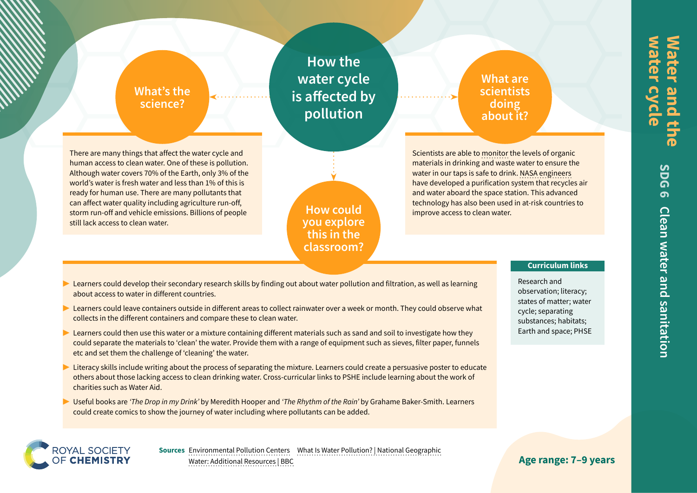## **What's the science?**

**How the water cycle is affected by pollution**

## **What are scientists doing about it?**

There are many things that affect the water cycle and human access to clean water. One of these is pollution. Although water covers 70% of the Earth, only 3% of the world's water is fresh water and less than 1% of this is ready for human use. There are many pollutants that can affect water quality including agriculture run-off, storm run-off and vehicle emissions. Billions of people still lack access to clean water.

**How could you explore this in the classroom?**

Scientists are able to [monitor](https://edu.rsc.org/job-profiles/analyst-higher-apprentice-organic-chemistry/4013064.article) the levels of organic materials in drinking and waste water to ensure the water in our taps is safe to drink. [NASA engineers](https://www.nasa.gov/mission_pages/station/research/benefits/water_purification.html) have developed a purification system that recycles air and water aboard the space station. This advanced technology has also been used in at-risk countries to improve access to clean water.

#### **Curriculum links**

Research and observation; literacy; states of matter; water cycle; separating substances; habitats; Earth and space; PHSE

- ▶ Learners could develop their secondary research skills by finding out about water pollution and filtration, as well as learning about access to water in different countries.
- ▶ Learners could leave containers outside in different areas to collect rainwater over a week or month. They could observe what collects in the different containers and compare these to clean water.
- Learners could then use this water or a mixture containing different materials such as sand and soil to investigate how they could separate the materials to 'clean' the water. Provide them with a range of equipment such as sieves, filter paper, funnels etc and set them the challenge of 'cleaning' the water.
- Literacy skills include writing about the process of separating the mixture. Learners could create a persuasive poster to educate others about those lacking access to clean drinking water. Cross-curricular links to PSHE include learning about the work of charities such as Water Aid.
- ▶ Useful books are *'The Drop in my Drink'* by Meredith Hooper and *'The Rhythm of the Rain'* by Grahame Baker-Smith. Learners could create comics to show the journey of water including where pollutants can be added.



**Sources** [Environmental Pollution Centers](https://www.environmentalpollutioncenters.org/) [What Is Water Pollution? | National Geographic](https://www.nationalgeographic.org/media/what-water-pollution/a) [Water: Additional Resources | BBC](https://www.bbc.co.uk/teach/terrific-scientific/KS2/zbnf47h)

**Age range: 7–9 years**